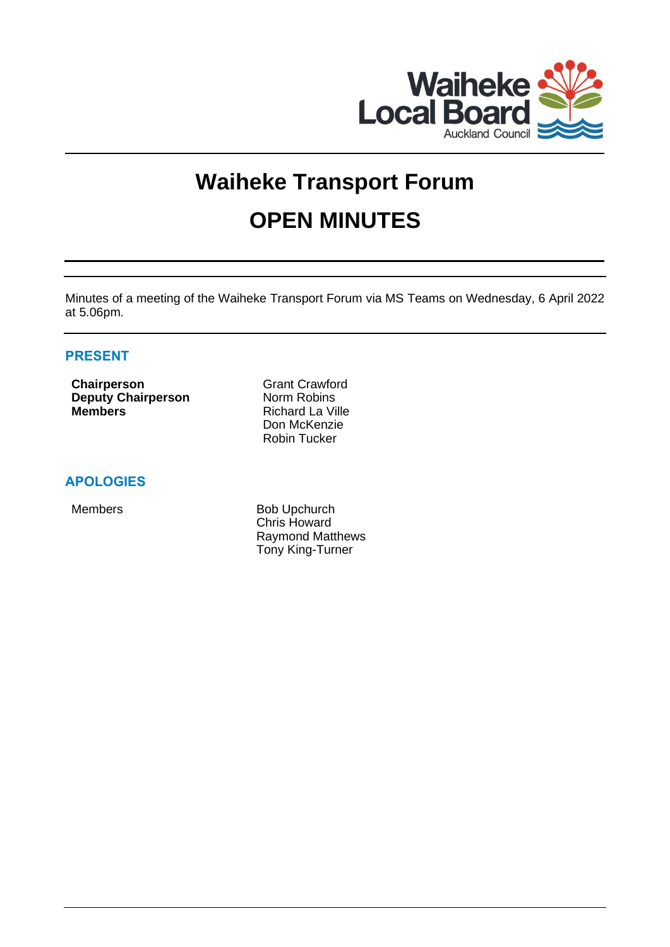

# **Waiheke Transport Forum OPEN MINUTES**

Minutes of a meeting of the Waiheke Transport Forum via MS Teams on Wednesday, 6 April 2022 at 5.06pm.

# **PRESENT**

**Chairperson** Grant Crawford **Deputy Chairperson** Norm Robins **Members** Richard La Ville

Don McKenzie Robin Tucker

# **APOLOGIES**

Members Bob Upchurch Chris Howard Raymond Matthews Tony King-Turner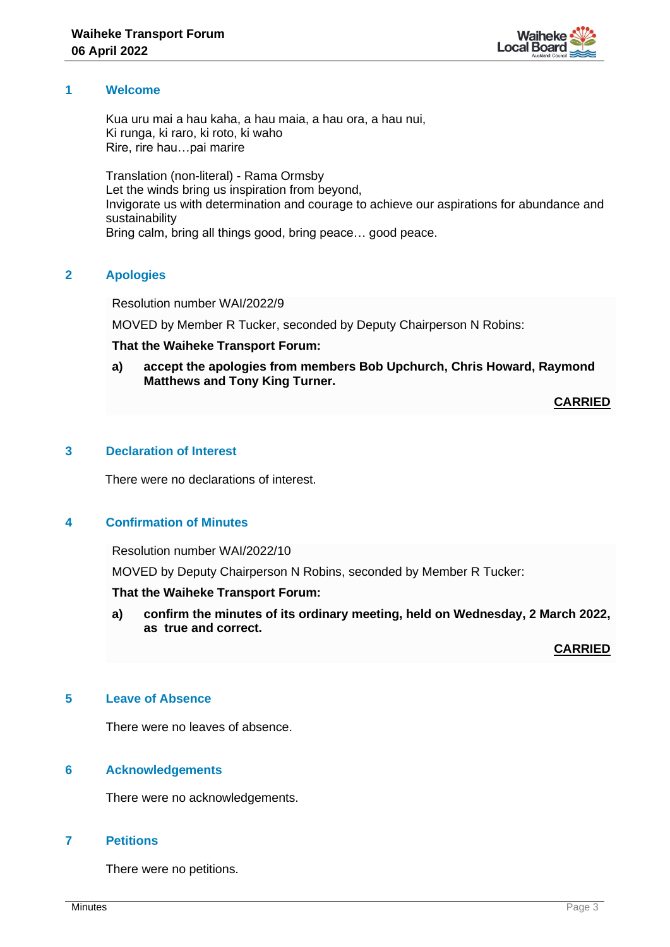

#### **1 Welcome**

Kua uru mai a hau kaha, a hau maia, a hau ora, a hau nui, Ki runga, ki raro, ki roto, ki waho Rire, rire hau…pai marire

Translation (non-literal) - Rama Ormsby Let the winds bring us inspiration from beyond, Invigorate us with determination and courage to achieve our aspirations for abundance and sustainability Bring calm, bring all things good, bring peace… good peace.

# **2 Apologies**

Resolution number WAI/2022/9

MOVED by Member R Tucker, seconded by Deputy Chairperson N Robins:

## **That the Waiheke Transport Forum:**

**a) accept the apologies from members Bob Upchurch, Chris Howard, Raymond Matthews and Tony King Turner.**

## **CARRIED**

## **3 Declaration of Interest**

There were no declarations of interest.

# **4 Confirmation of Minutes**

Resolution number WAI/2022/10

MOVED by Deputy Chairperson N Robins, seconded by Member R Tucker:

#### **That the Waiheke Transport Forum:**

**a) confirm the minutes of its ordinary meeting, held on Wednesday, 2 March 2022, as true and correct.**

**CARRIED**

## **5 Leave of Absence**

There were no leaves of absence.

# **6 Acknowledgements**

There were no acknowledgements.

#### **7 Petitions**

There were no petitions.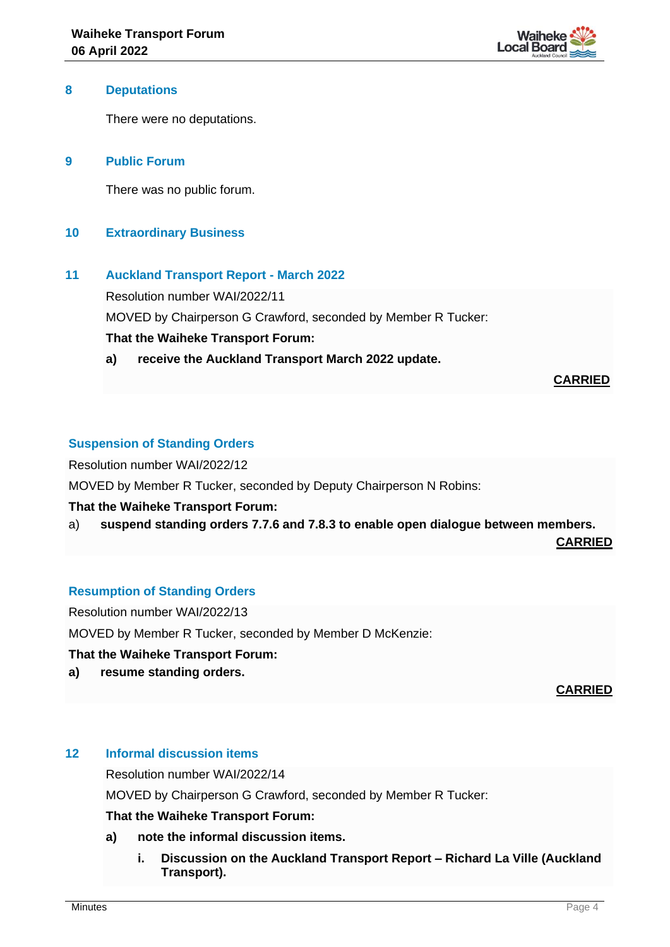

#### **8 Deputations**

There were no deputations.

## **9 Public Forum**

There was no public forum.

## **10 Extraordinary Business**

## **11 Auckland Transport Report - March 2022**

Resolution number WAI/2022/11 MOVED by Chairperson G Crawford, seconded by Member R Tucker: **That the Waiheke Transport Forum:**

**a) receive the Auckland Transport March 2022 update.**

## **CARRIED**

## **Suspension of Standing Orders**

Resolution number WAI/2022/12

MOVED by Member R Tucker, seconded by Deputy Chairperson N Robins:

#### **That the Waiheke Transport Forum:**

a) **suspend standing orders 7.7.6 and 7.8.3 to enable open dialogue between members.**

**CARRIED**

# **Resumption of Standing Orders**

Resolution number WAI/2022/13

MOVED by Member R Tucker, seconded by Member D McKenzie:

#### **That the Waiheke Transport Forum:**

**a) resume standing orders.**

**CARRIED**

#### **12 Informal discussion items**

Resolution number WAI/2022/14

MOVED by Chairperson G Crawford, seconded by Member R Tucker:

# **That the Waiheke Transport Forum:**

- **a) note the informal discussion items.**
	- **i. Discussion on the Auckland Transport Report – Richard La Ville (Auckland Transport).**